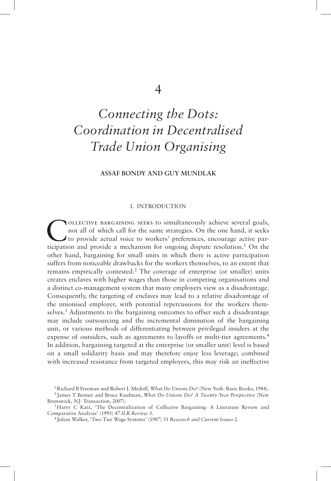# *Connecting the Dots: Coordination in Decentralised Trade Union Organising*

#### **ASSAF BONDY AND GUY MUNDLAK**

#### I. INTRODUCTION

OLLECTIVE BARGAINING SEEKS to simultaneously achieve several goals, not all of which call for the same strategies. On the one hand, it seeks to provide actual voice to workers' preferences, encourage active participation and provide a mechanism for ongoing dispute resolution.<sup>1</sup> On the other hand, bargaining for small units in which there is active participation suffers from noticeable drawbacks for the workers themselves, to an extent that remains empirically contested.<sup>2</sup> The coverage of enterprise (or smaller) units creates enclaves with higher wages than those in competing organisations and a distinct co-management system that many employers view as a disadvantage. Consequently, the targeting of enclaves may lead to a relative disadvantage of the unionised employer, with potential repercussions for the workers themselves.<sup>3</sup> Adjustments to the bargaining outcomes to offset such a disadvantage may include outsourcing and the incremental diminution of the bargaining unit, or various methods of differentiating between privileged insiders at the expense of outsiders, such as agreements to layoffs or multi-tier agreements. 4 In addition, bargaining targeted at the enterprise (or smaller unit) level is based on a small solidarity basis and may therefore enjoy less leverage; combined with increased resistance from targeted employers, this may risk an ineffective

<sup>&</sup>lt;sup>1</sup> Richard B Freeman and Robert L Medoff, *What Do Unions Do?* (New York: Basic Books, 1984). <sup>2</sup> James T Bennet and Bruce Kaufman, *What Do Unions Do? A Twenty-Year Perspective* (New Brunswick, NJ: Transaction, 2007).

<sup>&</sup>lt;sup>3</sup> Harry C Katz, 'The Decentralization of Collective Bargaining: A Literature Review and Comparative Analysis' (1993) 47 ILR Review 3.

 <sup>4</sup> Julian Walker , ' Two Tier Wage Systems ' ( 1987 ) 51 *Research and Current Issues* 2 .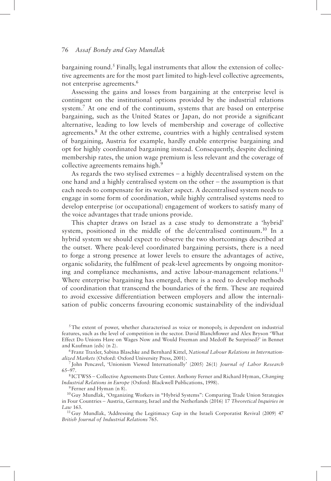bargaining round.<sup>5</sup> Finally, legal instruments that allow the extension of collective agreements are for the most part limited to high-level collective agreements, not enterprise agreements. 6

 Assessing the gains and losses from bargaining at the enterprise level is contingent on the institutional options provided by the industrial relations system.<sup>7</sup> At one end of the continuum, systems that are based on enterprise bargaining, such as the United States or Japan, do not provide a significant alternative, leading to low levels of membership and coverage of collective agreements. 8 At the other extreme, countries with a highly centralised system of bargaining, Austria for example, hardly enable enterprise bargaining and opt for highly coordinated bargaining instead. Consequently, despite declining membership rates, the union wage premium is less relevant and the coverage of collective agreements remains high.<sup>9</sup>

 As regards the two stylised extremes – a highly decentralised system on the one hand and a highly centralised system on the other – the assumption is that each needs to compensate for its weaker aspect. A decentralised system needs to engage in some form of coordination, while highly centralised systems need to develop enterprise (or occupational) engagement of workers to satisfy many of the voice advantages that trade unions provide.

This chapter draws on Israel as a case study to demonstrate a 'hybrid' system, positioned in the middle of the de/centralised continuum.<sup>10</sup> In a hybrid system we should expect to observe the two shortcomings described at the outset. Where peak-level coordinated bargaining persists, there is a need to forge a strong presence at lower levels to ensure the advantages of active, organic solidarity, the fulfilment of peak-level agreements by ongoing monitoring and compliance mechanisms, and active labour-management relations. 11 Where enterprise bargaining has emerged, there is a need to develop methods of coordination that transcend the boundaries of the firm. These are required to avoid excessive differentiation between employers and allow the internalisation of public concerns favouring economic sustainability of the individual

 6 Franz Traxler , Sabina Blaschke and Bernhard Kittel , *National Labour Relations in Internation*alized Markets (Oxford: Oxford University Press, 2001).

 7 John Pencavel , ' Unionism Viewed Internationally ' ( 2005 ) 26 ( 1 ) *Journal of Labor Research*  $65 - 97$ .

 8 ICTWSS – Collective Agreements Date Center. Anthony Ferner and Richard Hyman , *Changing Industrial Relations in Europe* (Oxford: Blackwell Publications, 1998).

9 Ferner and Hyman (n 8).

<sup>10</sup> Guy Mundlak, 'Organizing Workers in "Hybrid Systems": Comparing Trade Union Strategies in Four Countries – Austria, Germany, Israel and the Netherlands ( 2016 ) 17 *Theoretical Inquiries in Law* 163 .

 $11$  Guy Mundlak, 'Addressing the Legitimacy Gap in the Israeli Corporatist Revival (2009) 47 *British Journal of Industrial Relations* 765 .

 $<sup>5</sup>$ The extent of power, whether characterised as voice or monopoly, is dependent on industrial</sup> features, such as the level of competition in the sector. David Blanchflower and Alex Bryson 'What Effect Do Unions Have on Wages Now and Would Freeman and Medoff Be Surprised ? ' in Bennet and Kaufman (eds) (n 2).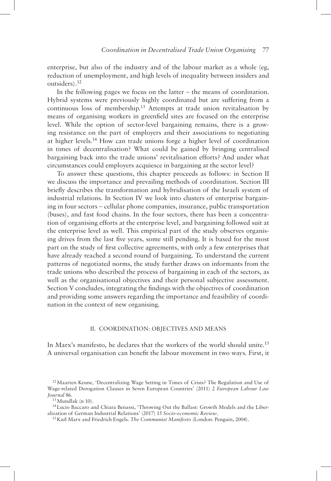enterprise, but also of the industry and of the labour market as a whole (eg, reduction of unemployment, and high levels of inequality between insiders and outsiders). 12

 In the following pages we focus on the latter – the means of coordination. Hybrid systems were previously highly coordinated but are suffering from a continuous loss of membership.<sup>13</sup> Attempts at trade union revitalisation by means of organising workers in greenfield sites are focused on the enterprise level. While the option of sector-level bargaining remains, there is a growing resistance on the part of employers and their associations to negotiating at higher levels. 14 How can trade unions forge a higher level of coordination in times of decentralisation? What could be gained by bringing centralised bargaining back into the trade unions' revitalisation efforts? And under what circumstances could employers acquiesce in bargaining at the sector level ?

 To answer these questions, this chapter proceeds as follows: in Section II we discuss the importance and prevailing methods of coordination. Section III briefly describes the transformation and hybridisation of the Israeli system of industrial relations. In Section IV we look into clusters of enterprise bargaining in four sectors – cellular phone companies, insurance, public transportation (buses), and fast food chains. In the four sectors, there has been a concentration of organising efforts at the enterprise level, and bargaining followed suit at the enterprise level as well. This empirical part of the study observes organising drives from the last five years, some still pending. It is based for the most part on the study of first collective agreements, with only a few enterprises that have already reached a second round of bargaining. To understand the current patterns of negotiated norms, the study further draws on informants from the trade unions who described the process of bargaining in each of the sectors, as well as the organisational objectives and their personal subjective assessment. Section V concludes, integrating the findings with the objectives of coordination and providing some answers regarding the importance and feasibility of coordination in the context of new organising.

#### II. COORDINATION: OBJECTIVES AND MEANS

In Marx's manifesto, he declares that the workers of the world should unite.<sup>15</sup> A universal organisation can benefi t the labour movement in two ways. First, it

<sup>&</sup>lt;sup>12</sup> Maarten Keune, 'Decentralizing Wage Setting in Times of Crisis? The Regulation and Use of Wage-related Derogation Clauses in Seven European Countries' (2011) 2 *European Labour Law Journal* 86 .

 $13$  Mundlak (n 10).

<sup>&</sup>lt;sup>14</sup> Lucio Baccaro and Chiara Benassi, 'Throwing Out the Ballast: Growth Models and the Liberalization of German Industrial Relations' (2017) 15 Socio-economic Review.

<sup>&</sup>lt;sup>15</sup> Karl Marx and Friedrich Engels. *The Communist Manifesto* (London: Penguin, 2004).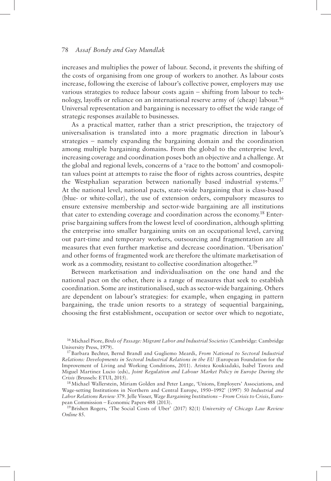increases and multiplies the power of labour. Second, it prevents the shifting of the costs of organising from one group of workers to another. As labour costs increase, following the exercise of labour's collective power, employers may use various strategies to reduce labour costs again – shifting from labour to technology, layoffs or reliance on an international reserve army of (cheap) labour. 16 Universal representation and bargaining is necessary to offset the wide range of strategic responses available to businesses.

 As a practical matter, rather than a strict prescription, the trajectory of universalisation is translated into a more pragmatic direction in labour's strategies – namely expanding the bargaining domain and the coordination among multiple bargaining domains. From the global to the enterprise level, increasing coverage and coordination poses both an objective and a challenge. At the global and regional levels, concerns of a 'race to the bottom' and cosmopolitan values point at attempts to raise the floor of rights across countries, despite the Westphalian separation between nationally based industrial systems.<sup>17</sup> At the national level, national pacts, state-wide bargaining that is class-based (blue- or white-collar), the use of extension orders, compulsory measures to ensure extensive membership and sector-wide bargaining are all institutions that cater to extending coverage and coordination across the economy.<sup>18</sup> Enterprise bargaining suffers from the lowest level of coordination, although splitting the enterprise into smaller bargaining units on an occupational level, carving out part-time and temporary workers, outsourcing and fragmentation are all measures that even further marketise and decrease coordination. ' Uberisation ' and other forms of fragmented work are therefore the ultimate marketisation of work as a commodity, resistant to collective coordination altogether.<sup>19</sup>

 Between marketisation and individualisation on the one hand and the national pact on the other, there is a range of measures that seek to establish coordination. Some are institutionalised, such as sector-wide bargaining. Others are dependent on labour's strategies: for example, when engaging in pattern bargaining, the trade union resorts to a strategy of sequential bargaining, choosing the first establishment, occupation or sector over which to negotiate,

<sup>&</sup>lt;sup>16</sup> Michael Piore, *Birds of Passage: Migrant Labor and Industrial Societies* (Cambridge: Cambridge University Press, 1979).

<sup>&</sup>lt;sup>17</sup> Barbara Bechter, Bernd Brandl and Gugliemo Meardi, *From National to Sectoral Industrial Relations: Developments in Sectoral Industrial Relations in the EU* ( European Foundation for the Improvement of Living and Working Conditions, 2011). Aristea Koukiadaki, Isabel Tavora and Miguel Martinez Lucio (eds), *Joint Regulation and Labour Market Policy in Europe During the Crisis* (Brussels: ETUI, 2015).

<sup>&</sup>lt;sup>18</sup> Michael Wallerstein, Miriam Golden and Peter Lange, 'Unions, Employers' Associations, and Wage-setting Institutions in Northern and Central Europe, 1950–1992' (1997) 50 Industrial and *Labor Relations Review* 379 . Jelle Visser, *Wage Bargaining Institutions – From Crisis to Crisis* , European Commission – Economic Papers 488 (2013).

<sup>&</sup>lt;sup>19</sup> Brishen Rogers, 'The Social Costs of Uber' (2017) 82(1) *University of Chicago Law Review Online* 85 .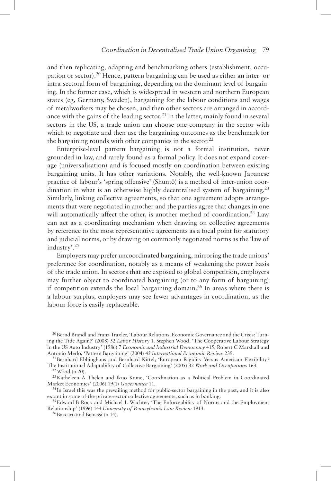and then replicating, adapting and benchmarking others (establishment, occupation or sector). 20 Hence, pattern bargaining can be used as either an inter- or intra-sectoral form of bargaining, depending on the dominant level of bargaining. In the former case, which is widespread in western and northern European states (eg, Germany, Sweden), bargaining for the labour conditions and wages of metalworkers may be chosen, and then other sectors are arranged in accordance with the gains of the leading sector.<sup>21</sup> In the latter, mainly found in several sectors in the US, a trade union can choose one company in the sector with which to negotiate and then use the bargaining outcomes as the benchmark for the bargaining rounds with other companies in the sector.<sup>22</sup>

 Enterprise-level pattern bargaining is not a formal institution, never grounded in law, and rarely found as a formal policy. It does not expand coverage (universalisation) and is focused mostly on coordination between existing bargaining units. It has other variations. Notably, the well-known Japanese practice of labour's 'spring offensive' (Shunto) is a method of inter-union coordination in what is an otherwise highly decentralised system of bargaining.<sup>23</sup> Similarly, linking collective agreements, so that one agreement adopts arrangements that were negotiated in another and the parties agree that changes in one will automatically affect the other, is another method of coordination.<sup>24</sup> Law can act as a coordinating mechanism when drawing on collective agreements by reference to the most representative agreements as a focal point for statutory and judicial norms, or by drawing on commonly negotiated norms as the 'law of industry'.<sup>25</sup>

 Employers may prefer uncoordinated bargaining, mirroring the trade unions ' preference for coordination, notably as a means of weakening the power basis of the trade union. In sectors that are exposed to global competition, employers may further object to coordinated bargaining (or to any form of bargaining) if competition extends the local bargaining domain.<sup>26</sup> In areas where there is a labour surplus, employers may see fewer advantages in coordination, as the labour force is easily replaceable.

<sup>21</sup> Bernhard Ebbinghaus and Bernhard Kittel, 'European Rigidity Versus American Flexibility? The Institutional Adaptability of Collective Bargaining ' ( 2005 ) 32 *Work and Occupations* 163 .

<sup>&</sup>lt;sup>20</sup> Bernd Brandl and Franz Traxler, 'Labour Relations, Economic Governance and the Crisis: Turning the Tide Again?' (2008) 52 *Labor History* 1. Stephen Wood, 'The Cooperative Labour Strategy in the US Auto Industry ' ( 1986 ) 7 *Economic and Industrial Democracy* 415 ; Robert C Marshall and Antonio Merlo, 'Pattern Bargaining' (2004) 45 International Economic Review 239.

 <sup>22</sup> Wood (n 20).

<sup>&</sup>lt;sup>23</sup> Katheleen A Thelen and Ikuo Kume, 'Coordination as a Political Problem in Coordinated Market Economies' (2006) 19(1) Governance 11.

<sup>&</sup>lt;sup>24</sup> In Israel this was the prevailing method for public-sector bargaining in the past, and it is also extant in some of the private-sector collective agreements, such as in banking.

<sup>&</sup>lt;sup>25</sup> Edward B Rock and Michael L Wachter, 'The Enforceability of Norms and the Employment Relationship' (1996) 144 *University of Pennsylvania Law Review* 1913.

 <sup>26</sup> Baccaro and Benassi (n 14).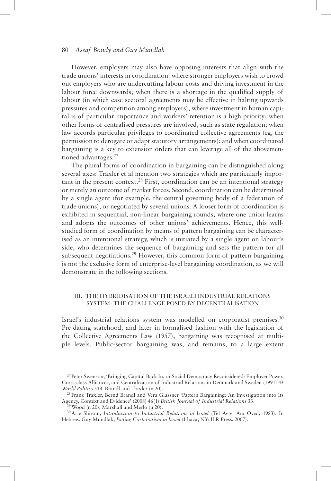However, employers may also have opposing interests that align with the trade unions ' interests in coordination: where stronger employers wish to crowd out employers who are undercutting labour costs and driving investment in the labour force downwards; when there is a shortage in the qualified supply of labour (in which case sectoral agreements may be effective in halting upwards pressures and competition among employers); where investment in human capital is of particular importance and workers ' retention is a high priority; when other forms of centralised pressures are involved, such as state regulation; when law accords particular privileges to coordinated collective agreements (eg, the permission to derogate or adapt statutory arrangements); and when coordinated bargaining is a key to extension orders that can leverage all of the abovementioned advantages.<sup>27</sup>

 The plural forms of coordination in bargaining can be distinguished along several axes: Traxler et al mention two strategies which are particularly important in the present context.<sup>28</sup> First, coordination can be an intentional strategy or merely an outcome of market forces. Second, coordination can be determined by a single agent (for example, the central governing body of a federation of trade unions), or negotiated by several unions. A looser form of coordination is exhibited in sequential, non-linear bargaining rounds, where one union learns and adopts the outcomes of other unions' achievements. Hence, this wellstudied form of coordination by means of pattern bargaining can be characterised as an intentional strategy, which is initiated by a single agent on labour's side, who determines the sequence of bargaining and sets the pattern for all subsequent negotiations.<sup>29</sup> However, this common form of pattern bargaining is not the exclusive form of enterprise-level bargaining coordination, as we will demonstrate in the following sections.

#### III. THE HYBRIDISATION OF THE ISRAELI INDUSTRIAL RELATIONS SYSTEM: THE CHALLENGE POSED BY DECENTRALISATION

Israel's industrial relations system was modelled on corporatist premises.<sup>30</sup> Pre-dating statehood, and later in formalised fashion with the legislation of the Collective Agreements Law (1957), bargaining was recognised at multiple levels. Public-sector bargaining was, and remains, to a large extent

<sup>&</sup>lt;sup>27</sup> Peter Swenson, 'Bringing Capital Back In, or Social Democracy Reconsidered: Employer Power, Cross-class Alliances, and Centralization of Industrial Relations in Denmark and Sweden ( 1991 ) 43 *World Politics* 513 . Brandl and Traxler (n 20).

<sup>&</sup>lt;sup>28</sup> Franz Traxler, Bernd Brandl and Vera Glassner 'Pattern Bargaining: An Investigation into Its Agency, Context and Evidence' (2008) 46(1) *British Journal of Industrial Relations* 33.

 $29$  Wood (n 20); Marshall and Merlo (n 20).

<sup>&</sup>lt;sup>30</sup> Arie Shirom, *Introduction to Industrial Relations in Israel* (Tel Aviv: Am Oved, 1983). In Hebrew. Guy Mundlak, *Fading Corporatism in Israel* (Ithaca, NY: ILR Press, 2007).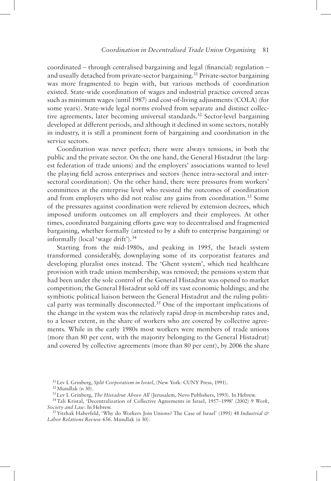coordinated  $-$  through centralised bargaining and legal (financial) regulation  $$ and usually detached from private-sector bargaining. 31 Private-sector bargaining was more fragmented to begin with, but various methods of coordination existed. State-wide coordination of wages and industrial practice covered areas such as minimum wages (until 1987) and cost-of-living adjustments (COLA) (for some years). State-wide legal norms evolved from separate and distinct collective agreements, later becoming universal standards. 32 Sector-level bargaining developed at different periods, and although it declined in some sectors, notably in industry, it is still a prominent form of bargaining and coordination in the service sectors.

 Coordination was never perfect; there were always tensions, in both the public and the private sector. On the one hand, the General Histadrut (the largest federation of trade unions) and the employers' associations wanted to level the playing field across enterprises and sectors (hence intra-sectoral and intersectoral coordination). On the other hand, there were pressures from workers ' committees at the enterprise level who resisted the outcomes of coordination and from employers who did not realise any gains from coordination.<sup>33</sup> Some of the pressures against coordination were relieved by extension decrees, which imposed uniform outcomes on all employers and their employees. At other times, coordinated bargaining efforts gave way to decentralised and fragmented bargaining, whether formally (attested to by a shift to enterprise bargaining) or informally (local 'wage drift').  $34$ 

 Starting from the mid-1980s, and peaking in 1995, the Israeli system transformed considerably, downplaying some of its corporatist features and developing pluralist ones instead. The 'Ghent system', which tied healthcare provision with trade union membership, was removed; the pensions system that had been under the sole control of the General Histadrut was opened to market competition; the General Histadrut sold off its vast economic holdings; and the symbiotic political liaison between the General Histadrut and the ruling political party was terminally disconnected. 35 One of the important implications of the change in the system was the relatively rapid drop in membership rates and, to a lesser extent, in the share of workers who are covered by collective agreements. While in the early 1980s most workers were members of trade unions (more than 80 per cent, with the majority belonging to the General Histadrut) and covered by collective agreements (more than 80 per cent), by 2006 the share

<sup>&</sup>lt;sup>31</sup> Lev L Grinberg, *Split Corporatism in Israel*, (New York: CUNY Press, 1991). 32 Mundlak (n 30).

<sup>&</sup>lt;sup>33</sup> Lev L Grinberg, *The Histadrut Above All* (Jerusalem, Nevo Publishers, 1993). In Hebrew.

<sup>&</sup>lt;sup>34</sup> Tali Kristal, 'Decentralization of Collective Agreements in Israel, 1957–1998' (2002) 9 *Work*, Society and Law. In Hebrew.

<sup>35</sup> Yitzhak Haberfeld, 'Why do Workers Join Unions? The Case of Israel' (1995) 48 *Industrial & Labor Relations Review* 656 . Mundlak (n 30).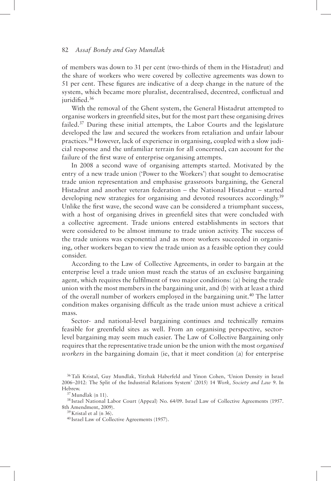of members was down to 31 per cent (two-thirds of them in the Histadrut) and the share of workers who were covered by collective agreements was down to 51 per cent. These figures are indicative of a deep change in the nature of the system, which became more pluralist, decentralised, decentred, conflictual and juridified.<sup>36</sup>

 With the removal of the Ghent system, the General Histadrut attempted to organise workers in greenfield sites, but for the most part these organising drives failed.<sup>37</sup> During these initial attempts, the Labor Courts and the legislature developed the law and secured the workers from retaliation and unfair labour practices. 38 However, lack of experience in organising, coupled with a slow judicial response and the unfamiliar terrain for all concerned, can account for the failure of the first wave of enterprise organising attempts.

 In 2008 a second wave of organising attempts started. Motivated by the entry of a new trade union ('Power to the Workers') that sought to democratise trade union representation and emphasise grassroots bargaining, the General Histadrut and another veteran federation – the National Histadrut – started developing new strategies for organising and devoted resources accordingly.<sup>39</sup> Unlike the first wave, the second wave can be considered a triumphant success, with a host of organising drives in greenfield sites that were concluded with a collective agreement. Trade unions entered establishments in sectors that were considered to be almost immune to trade union activity. The success of the trade unions was exponential and as more workers succeeded in organising, other workers began to view the trade union as a feasible option they could consider.

 According to the Law of Collective Agreements, in order to bargain at the enterprise level a trade union must reach the status of an exclusive bargaining agent, which requires the fulfilment of two major conditions: (a) being the trade union with the most members in the bargaining unit, and (b) with at least a third of the overall number of workers employed in the bargaining unit. 40 The latter condition makes organising difficult as the trade union must achieve a critical mass.

 Sector- and national-level bargaining continues and technically remains feasible for greenfield sites as well. From an organising perspective, sectorlevel bargaining may seem much easier. The Law of Collective Bargaining only requires that the representative trade union be the union with the most *organised workers* in the bargaining domain (ie, that it meet condition (a) for enterprise

<sup>&</sup>lt;sup>36</sup> Tali Kristal, Guy Mundlak, Yitzhak Haberfeld and Yinon Cohen, 'Union Density in Israel 2006 – 2012 : The Split of the Industrial Relations System ' ( 2015 ) 14 *Work, Society and Law* 9 . In Hebrew.

 $37$  Mundlak (n 11).

 <sup>38</sup> Israel National Labor Court (Appeal) No. 64/09. Israel Law of Collective Agreements (1957. 8th Amendment, 2009).

 <sup>39</sup> Kristal et al (n 36).

 <sup>40</sup> Israel Law of Collective Agreements (1957).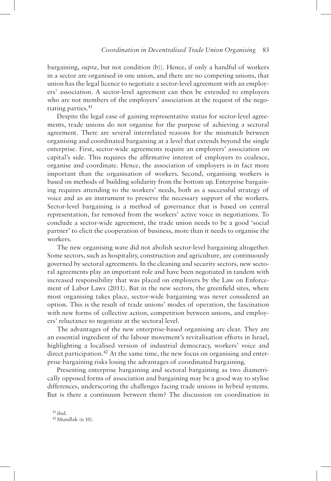bargaining, *supra* , but not condition (b)). Hence, if only a handful of workers in a sector are organised in one union, and there are no competing unions, that union has the legal licence to negotiate a sector-level agreement with an employers' association. A sector-level agreement can then be extended to employers who are not members of the employers' association at the request of the negotiating parties. 41

 Despite the legal ease of gaining representative status for sector-level agreements, trade unions do not organise for the purpose of achieving a sectoral agreement. There are several interrelated reasons for the mismatch between organising and coordinated bargaining at a level that extends beyond the single enterprise. First, sector-wide agreements require an employers' association on capital's side. This requires the affirmative interest of employers to coalesce, organise and coordinate. Hence, the association of employers is in fact more important than the organisation of workers. Second, organising workers is based on methods of building solidarity from the bottom up. Enterprise bargaining requires attending to the workers' needs, both as a successful strategy of voice and as an instrument to preserve the necessary support of the workers. Sector-level bargaining is a method of governance that is based on central representation, far removed from the workers' active voice in negotiations. To conclude a sector-wide agreement, the trade union needs to be a good ' social partner' to elicit the cooperation of business, more than it needs to organise the workers.

 The new organising wave did not abolish sector-level bargaining altogether. Some sectors, such as hospitality, construction and agriculture, are continuously governed by sectoral agreements. In the cleaning and security sectors, new sectoral agreements play an important role and have been negotiated in tandem with increased responsibility that was placed on employers by the Law on Enforcement of Labor Laws (2011). But in the new sectors, the greenfield sites, where most organising takes place, sector-wide bargaining was never considered an option. This is the result of trade unions ' modes of operation, the fascination with new forms of collective action, competition between unions, and employers' reluctance to negotiate at the sectoral level.

 The advantages of the new enterprise-based organising are clear. They are an essential ingredient of the labour movement's revitalisation efforts in Israel, highlighting a localised version of industrial democracy, workers' voice and direct participation.<sup>42</sup> At the same time, the new focus on organising and enterprise bargaining risks losing the advantages of coordinated bargaining.

 Presenting enterprise bargaining and sectoral bargaining as two diametrically opposed forms of association and bargaining may be a good way to stylise differences, underscoring the challenges facing trade unions in hybrid systems. But is there a continuum between them ? The discussion on coordination in

 $41$  ibid.  $42$  Mundlak (n 10).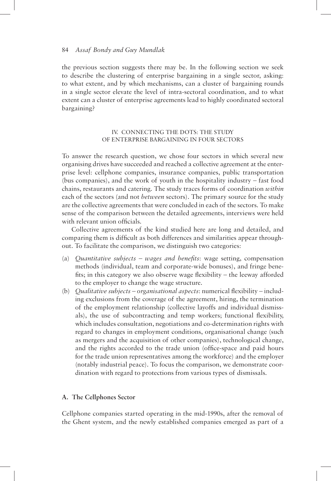the previous section suggests there may be. In the following section we seek to describe the clustering of enterprise bargaining in a single sector, asking: to what extent, and by which mechanisms, can a cluster of bargaining rounds in a single sector elevate the level of intra-sectoral coordination, and to what extent can a cluster of enterprise agreements lead to highly coordinated sectoral bargaining?

#### IV. CONNECTING THE DOTS: THE STUDY OF ENTERPRISE BARGAINING IN FOUR SECTORS

 To answer the research question, we chose four sectors in which several new organising drives have succeeded and reached a collective agreement at the enterprise level: cellphone companies, insurance companies, public transportation (bus companies), and the work of youth in the hospitality industry – fast food chains, restaurants and catering. The study traces forms of coordination *within* each of the sectors (and not *between* sectors). The primary source for the study are the collective agreements that were concluded in each of the sectors. To make sense of the comparison between the detailed agreements, interviews were held with relevant union officials.

 Collective agreements of the kind studied here are long and detailed, and comparing them is difficult as both differences and similarities appear throughout. To facilitate the comparison, we distinguish two categories:

- (a) *Quantitative subjects wages and benefits*: wage setting, compensation methods (individual, team and corporate-wide bonuses), and fringe benefits; in this category we also observe wage flexibility – the leeway afforded to the employer to change the wage structure.
- (b) *Qualitative subjects organisational aspects*: numerical flexibility including exclusions from the coverage of the agreement, hiring, the termination of the employment relationship (collective layoffs and individual dismissals), the use of subcontracting and temp workers; functional flexibility, which includes consultation, negotiations and co-determination rights with regard to changes in employment conditions, organisational change (such as mergers and the acquisition of other companies), technological change, and the rights accorded to the trade union (office-space and paid hours for the trade union representatives among the workforce) and the employer (notably industrial peace). To focus the comparison, we demonstrate coordination with regard to protections from various types of dismissals.

#### **A. The Cellphones Sector**

 Cellphone companies started operating in the mid-1990s, after the removal of the Ghent system, and the newly established companies emerged as part of a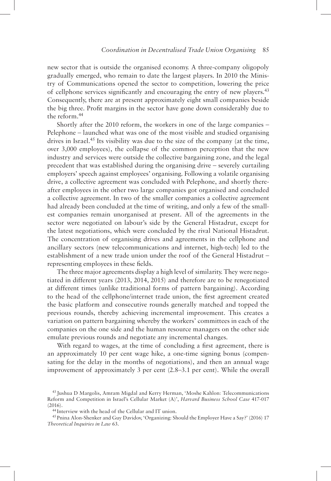new sector that is outside the organised economy. A three-company oligopoly gradually emerged, who remain to date the largest players. In 2010 the Ministry of Communications opened the sector to competition, lowering the price of cellphone services significantly and encouraging the entry of new players.<sup>43</sup> Consequently, there are at present approximately eight small companies beside the big three. Profit margins in the sector have gone down considerably due to the reform. 44

 Shortly after the 2010 reform, the workers in one of the large companies – Pelephone – launched what was one of the most visible and studied organising drives in Israel.<sup>45</sup> Its visibility was due to the size of the company (at the time, over 3,000 employees), the collapse of the common perception that the new industry and services were outside the collective bargaining zone, and the legal precedent that was established during the organising drive – severely curtailing employers' speech against employees' organising. Following a volatile organising drive, a collective agreement was concluded with Pelephone, and shortly thereafter employees in the other two large companies got organised and concluded a collective agreement. In two of the smaller companies a collective agreement had already been concluded at the time of writing, and only a few of the smallest companies remain unorganised at present. All of the agreements in the sector were negotiated on labour's side by the General Histadrut, except for the latest negotiations, which were concluded by the rival National Histadrut. The concentration of organising drives and agreements in the cellphone and ancillary sectors (new telecommunications and internet, high-tech) led to the establishment of a new trade union under the roof of the General Histadrut – representing employees in these fields.

 The three major agreements display a high level of similarity. They were negotiated in different years (2013, 2014, 2015) and therefore are to be renegotiated at different times (unlike traditional forms of pattern bargaining). According to the head of the cellphone/internet trade union, the first agreement created the basic platform and consecutive rounds generally matched and topped the previous rounds, thereby achieving incremental improvement. This creates a variation on pattern bargaining whereby the workers' committees in each of the companies on the one side and the human resource managers on the other side emulate previous rounds and negotiate any incremental changes.

With regard to wages, at the time of concluding a first agreement, there is an approximately 10 per cent wage hike, a one-time signing bonus (compensating for the delay in the months of negotiations), and then an annual wage improvement of approximately 3 per cent (2.8–3.1 per cent). While the overall

<sup>&</sup>lt;sup>43</sup> Jushua D Margolis, Amram Migdal and Kerry Herman, 'Moshe Kahlon: Telecommunications Reform and Competition in Israel's Cellular Market (A)', *Harvard Business School Case* 417-017  $(2016).$ 

 <sup>44</sup> Interview with the head of the Cellular and IT union.

<sup>&</sup>lt;sup>45</sup> Pnina Alon-Shenker and Guy Davidov, 'Organizing: Should the Employer Have a Say?' (2016) 17 *Theoretical Inquiries in Law* 63 .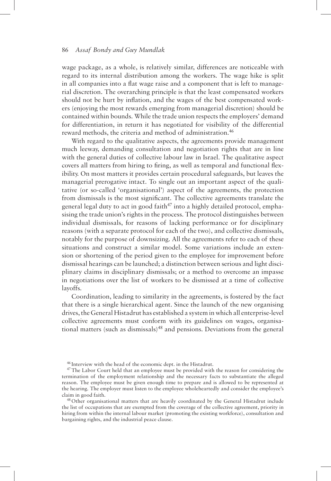wage package, as a whole, is relatively similar, differences are noticeable with regard to its internal distribution among the workers. The wage hike is split in all companies into a flat wage raise and a component that is left to managerial discretion. The overarching principle is that the least compensated workers should not be hurt by inflation, and the wages of the best compensated workers (enjoying the most rewards emerging from managerial discretion) should be contained within bounds. While the trade union respects the employers ' demand for differentiation, in return it has negotiated for visibility of the differential reward methods, the criteria and method of administration. 46

 With regard to the qualitative aspects, the agreements provide management much leeway, demanding consultation and negotiation rights that are in line with the general duties of collective labour law in Israel. The qualitative aspect covers all matters from hiring to firing, as well as temporal and functional flexibility. On most matters it provides certain procedural safeguards, but leaves the managerial prerogative intact. To single out an important aspect of the qualitative (or so-called 'organisational') aspect of the agreements, the protection from dismissals is the most significant. The collective agreements translate the general legal duty to act in good faith<sup> $47$ </sup> into a highly detailed protocol, emphasising the trade union's rights in the process. The protocol distinguishes between individual dismissals, for reasons of lacking performance or for disciplinary reasons (with a separate protocol for each of the two), and collective dismissals, notably for the purpose of downsizing. All the agreements refer to each of these situations and construct a similar model. Some variations include an extension or shortening of the period given to the employee for improvement before dismissal hearings can be launched; a distinction between serious and light disciplinary claims in disciplinary dismissals; or a method to overcome an impasse in negotiations over the list of workers to be dismissed at a time of collective layoffs.

 Coordination, leading to similarity in the agreements, is fostered by the fact that there is a single hierarchical agent. Since the launch of the new organising drives, the General Histadrut has established a system in which all enterprise-level collective agreements must conform with its guidelines on wages, organisational matters (such as dismissals) $48$  and pensions. Deviations from the general

 <sup>46</sup> Interview with the head of the economic dept. in the Histadrut.

<sup>&</sup>lt;sup>47</sup> The Labor Court held that an employee must be provided with the reason for considering the termination of the employment relationship and the necessary facts to substantiate the alleged reason. The employee must be given enough time to prepare and is allowed to be represented at the hearing. The employer must listen to the employee wholeheartedly and consider the employee's claim in good faith.

<sup>&</sup>lt;sup>48</sup> Other organisational matters that are heavily coordinated by the General Histadrut include the list of occupations that are exempted from the coverage of the collective agreement, priority in hiring from within the internal labour market (promoting the existing workforce), consultation and bargaining rights, and the industrial peace clause.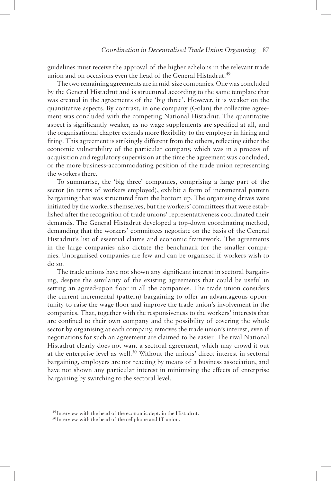guidelines must receive the approval of the higher echelons in the relevant trade union and on occasions even the head of the General Histadrut.<sup>49</sup>

 The two remaining agreements are in mid-size companies. One was concluded by the General Histadrut and is structured according to the same template that was created in the agreements of the 'big three'. However, it is weaker on the quantitative aspects. By contrast, in one company (Golan) the collective agreement was concluded with the competing National Histadrut. The quantitative aspect is significantly weaker, as no wage supplements are specified at all, and the organisational chapter extends more flexibility to the employer in hiring and firing. This agreement is strikingly different from the others, reflecting either the economic vulnerability of the particular company, which was in a process of acquisition and regulatory supervision at the time the agreement was concluded, or the more business-accommodating position of the trade union representing the workers there.

To summarise, the 'big three' companies, comprising a large part of the sector (in terms of workers employed), exhibit a form of incremental pattern bargaining that was structured from the bottom up. The organising drives were initiated by the workers themselves, but the workers ' committees that were established after the recognition of trade unions ' representativeness coordinated their demands. The General Histadrut developed a top-down coordinating method, demanding that the workers' committees negotiate on the basis of the General Histadrut's list of essential claims and economic framework. The agreements in the large companies also dictate the benchmark for the smaller companies. Unorganised companies are few and can be organised if workers wish to do so.

The trade unions have not shown any significant interest in sectoral bargaining, despite the similarity of the existing agreements that could be useful in setting an agreed-upon floor in all the companies. The trade union considers the current incremental (pattern) bargaining to offer an advantageous opportunity to raise the wage floor and improve the trade union's involvement in the companies. That, together with the responsiveness to the workers ' interests that are confined to their own company and the possibility of covering the whole sector by organising at each company, removes the trade union's interest, even if negotiations for such an agreement are claimed to be easier. The rival National Histadrut clearly does not want a sectoral agreement, which may crowd it out at the enterprise level as well.<sup>50</sup> Without the unions' direct interest in sectoral bargaining, employers are not reacting by means of a business association, and have not shown any particular interest in minimising the effects of enterprise bargaining by switching to the sectoral level.

 <sup>49</sup> Interview with the head of the economic dept. in the Histadrut.

 <sup>50</sup> Interview with the head of the cellphone and IT union.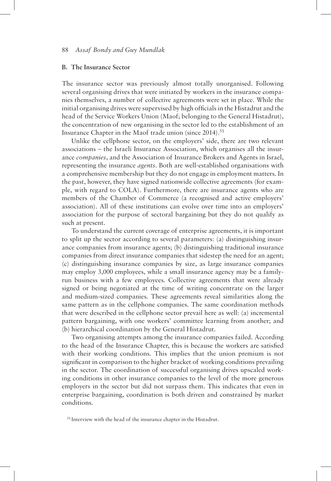#### **B. The Insurance Sector**

 The insurance sector was previously almost totally unorganised. Following several organising drives that were initiated by workers in the insurance companies themselves, a number of collective agreements were set in place. While the initial organising drives were supervised by high officials in the Histadrut and the head of the Service Workers Union (Maof; belonging to the General Histadrut), the concentration of new organising in the sector led to the establishment of an Insurance Chapter in the Maof trade union (since 2014). 51

Unlike the cellphone sector, on the employers' side, there are two relevant associations – the Israeli Insurance Association, which organises all the insurance *companies* , and the Association of Insurance Brokers and Agents in Israel, representing the insurance *agents* . Both are well-established organisations with a comprehensive membership but they do not engage in employment matters. In the past, however, they have signed nationwide collective agreements (for example, with regard to COLA). Furthermore, there are insurance agents who are members of the Chamber of Commerce (a recognised and active employers' association). All of these institutions can evolve over time into an employers ' association for the purpose of sectoral bargaining but they do not qualify as such at present.

 To understand the current coverage of enterprise agreements, it is important to split up the sector according to several parameters: (a) distinguishing insurance companies from insurance agents; (b) distinguishing traditional insurance companies from direct insurance companies that sidestep the need for an agent; (c) distinguishing insurance companies by size, as large insurance companies may employ 3,000 employees, while a small insurance agency may be a familyrun business with a few employees. Collective agreements that were already signed or being negotiated at the time of writing concentrate on the larger and medium-sized companies. These agreements reveal similarities along the same pattern as in the cellphone companies. The same coordination methods that were described in the cellphone sector prevail here as well: (a) incremental pattern bargaining, with one workers' committee learning from another; and (b) hierarchical coordination by the General Histadrut.

 Two organising attempts among the insurance companies failed. According to the head of the Insurance Chapter, this is because the workers are satisfied with their working conditions. This implies that the union premium is not significant in comparison to the higher bracket of working conditions prevailing in the sector. The coordination of successful organising drives upscaled working conditions in other insurance companies to the level of the more generous employers in the sector but did not surpass them. This indicates that even in enterprise bargaining, coordination is both driven and constrained by market conditions.

<sup>&</sup>lt;sup>51</sup> Interview with the head of the insurance chapter in the Histadrut.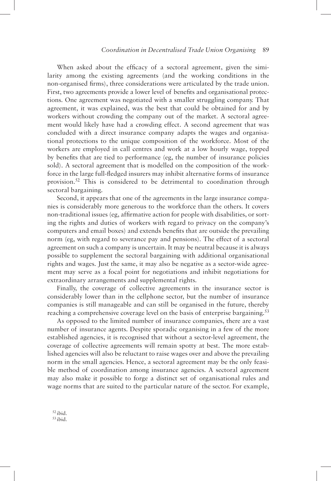When asked about the efficacy of a sectoral agreement, given the similarity among the existing agreements (and the working conditions in the non-organised firms), three considerations were articulated by the trade union. First, two agreements provide a lower level of benefits and organisational protections. One agreement was negotiated with a smaller struggling company. That agreement, it was explained, was the best that could be obtained for and by workers without crowding the company out of the market. A sectoral agreement would likely have had a crowding effect. A second agreement that was concluded with a direct insurance company adapts the wages and organisational protections to the unique composition of the workforce. Most of the workers are employed in call centres and work at a low hourly wage, topped by benefits that are tied to performance (eg, the number of insurance policies sold). A sectoral agreement that is modelled on the composition of the workforce in the large full-fledged insurers may inhibit alternative forms of insurance provision.<sup>52</sup> This is considered to be detrimental to coordination through sectoral bargaining.

 Second, it appears that one of the agreements in the large insurance companies is considerably more generous to the workforce than the others. It covers non-traditional issues (eg, affirmative action for people with disabilities, or sorting the rights and duties of workers with regard to privacy on the company's computers and email boxes) and extends benefits that are outside the prevailing norm (eg, with regard to severance pay and pensions). The effect of a sectoral agreement on such a company is uncertain. It may be neutral because it is always possible to supplement the sectoral bargaining with additional organisational rights and wages. Just the same, it may also be negative as a sector-wide agreement may serve as a focal point for negotiations and inhibit negotiations for extraordinary arrangements and supplemental rights.

 Finally, the coverage of collective agreements in the insurance sector is considerably lower than in the cellphone sector, but the number of insurance companies is still manageable and can still be organised in the future, thereby reaching a comprehensive coverage level on the basis of enterprise bargaining.<sup>53</sup>

 As opposed to the limited number of insurance companies, there are a vast number of insurance agents. Despite sporadic organising in a few of the more established agencies, it is recognised that without a sector-level agreement, the coverage of collective agreements will remain spotty at best. The more established agencies will also be reluctant to raise wages over and above the prevailing norm in the small agencies. Hence, a sectoral agreement may be the only feasible method of coordination among insurance agencies. A sectoral agreement may also make it possible to forge a distinct set of organisational rules and wage norms that are suited to the particular nature of the sector. For example,

 $52$  ibid. 53 ibid.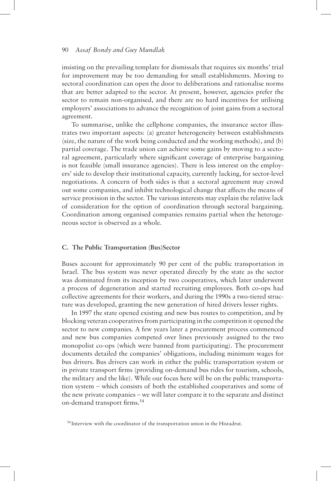insisting on the prevailing template for dismissals that requires six months' trial for improvement may be too demanding for small establishments. Moving to sectoral coordination can open the door to deliberations and rationalise norms that are better adapted to the sector. At present, however, agencies prefer the sector to remain non-organised, and there are no hard incentives for utilising employers' associations to advance the recognition of joint gains from a sectoral agreement.

 To summarise, unlike the cellphone companies, the insurance sector illustrates two important aspects: (a) greater heterogeneity between establishments (size, the nature of the work being conducted and the working methods), and (b) partial coverage. The trade union can achieve some gains by moving to a sectoral agreement, particularly where significant coverage of enterprise bargaining is not feasible (small insurance agencies). There is less interest on the employers ' side to develop their institutional capacity, currently lacking, for sector-level negotiations. A concern of both sides is that a sectoral agreement may crowd out some companies, and inhibit technological change that affects the means of service provision in the sector. The various interests may explain the relative lack of consideration for the option of coordination through sectoral bargaining. Coordination among organised companies remains partial when the heterogeneous sector is observed as a whole.

#### **C. The Public Transportation (Bus)Sector**

 Buses account for approximately 90 per cent of the public transportation in Israel. The bus system was never operated directly by the state as the sector was dominated from its inception by two cooperatives, which later underwent a process of degeneration and started recruiting employees. Both co-ops had collective agreements for their workers, and during the 1990s a two-tiered structure was developed, granting the new generation of hired drivers lesser rights.

 In 1997 the state opened existing and new bus routes to competition, and by blocking veteran cooperatives from participating in the competition it opened the sector to new companies. A few years later a procurement process commenced and new bus companies competed over lines previously assigned to the two monopolist co-ops (which were banned from participating). The procurement documents detailed the companies ' obligations, including minimum wages for bus drivers. Bus drivers can work in either the public transportation system or in private transport firms (providing on-demand bus rides for tourism, schools, the military and the like). While our focus here will be on the public transportation system – which consists of both the established cooperatives and some of the new private companies – we will later compare it to the separate and distinct on-demand transport firms.<sup>54</sup>

<sup>&</sup>lt;sup>54</sup> Interview with the coordinator of the transportation union in the Histadrut.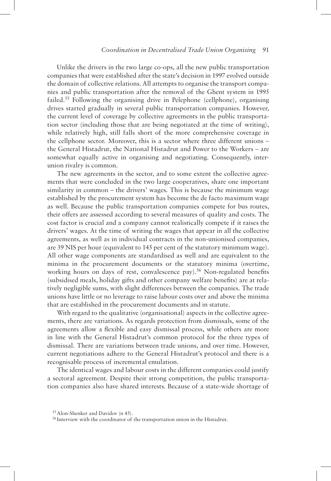Unlike the drivers in the two large co-ops, all the new public transportation companies that were established after the state's decision in 1997 evolved outside the domain of collective relations. All attempts to organise the transport companies and public transportation after the removal of the Ghent system in 1995 failed.<sup>55</sup> Following the organising drive in Pelephone (cellphone), organising drives started gradually in several public transportation companies. However, the current level of coverage by collective agreements in the public transportation sector (including those that are being negotiated at the time of writing), while relatively high, still falls short of the more comprehensive coverage in the cellphone sector. Moreover, this is a sector where three different unions – the General Histadrut, the National Histadrut and Power to the Workers – are somewhat equally active in organising and negotiating. Consequently, interunion rivalry is common.

 The new agreements in the sector, and to some extent the collective agreements that were concluded in the two large cooperatives, share one important similarity in common – the drivers' wages. This is because the minimum wage established by the procurement system has become the de facto maximum wage as well. Because the public transportation companies compete for bus routes, their offers are assessed according to several measures of quality and costs. The cost factor is crucial and a company cannot realistically compete if it raises the drivers' wages. At the time of writing the wages that appear in all the collective agreements, as well as in individual contracts in the non-unionised companies, are 39 NIS per hour (equivalent to 145 per cent of the statutory minimum wage). All other wage components are standardised as well and are equivalent to the minima in the procurement documents or the statutory minima (overtime, working hours on days of rest, convalescence pay).<sup>56</sup> Non-regulated benefits (subsidised meals, holiday gifts and other company welfare benefits) are at relatively negligible sums, with slight differences between the companies. The trade unions have little or no leverage to raise labour costs over and above the minima that are established in the procurement documents and in statute.

 With regard to the qualitative (organisational) aspects in the collective agreements, there are variations. As regards protection from dismissals, some of the agreements allow a flexible and easy dismissal process, while others are more in line with the General Histadrut's common protocol for the three types of dismissal. There are variations between trade unions, and over time. However, current negotiations adhere to the General Histadrut's protocol and there is a recognisable process of incremental emulation.

 The identical wages and labour costs in the different companies could justify a sectoral agreement. Despite their strong competition, the public transportation companies also have shared interests. Because of a state-wide shortage of

 <sup>55</sup> Alon-Shenker and Davidov (n 45).

 <sup>56</sup> Interview with the coordinator of the transportation union in the Histadrut.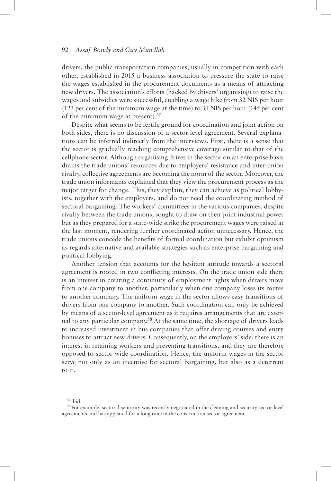drivers, the public transportation companies, usually in competition with each other, established in 2015 a business association to pressure the state to raise the wages established in the procurement documents as a means of attracting new drivers. The association's efforts (backed by drivers' organising) to raise the wages and subsidies were successful, enabling a wage hike from 32 NIS per hour (123 per cent of the minimum wage at the time) to 39 NIS per hour (145 per cent of the minimum wage at present). 57

 Despite what seems to be fertile ground for coordination and joint action on both sides, there is no discussion of a sector-level agreement. Several explanations can be inferred indirectly from the interviews. First, there is a sense that the sector is gradually reaching comprehensive coverage similar to that of the cellphone sector. Although organising drives in the sector on an enterprise basis drains the trade unions' resources due to employers' resistance and inter-union rivalry, collective agreements are becoming the norm of the sector. Moreover, the trade union informants explained that they view the procurement process as the major target for change. This, they explain, they can achieve as political lobbyists, together with the employers, and do not need the coordinating method of sectoral bargaining. The workers ' committees in the various companies, despite rivalry between the trade unions, sought to draw on their joint industrial power but as they prepared for a state-wide strike the procurement wages were raised at the last moment, rendering further coordinated action unnecessary. Hence, the trade unions concede the benefits of formal coordination but exhibit optimism as regards alternative and available strategies such as enterprise bargaining and political lobbying.

 Another tension that accounts for the hesitant attitude towards a sectoral agreement is rooted in two conflicting interests. On the trade union side there is an interest in creating a continuity of employment rights when drivers move from one company to another, particularly when one company loses its routes to another company. The uniform wage in the sector allows easy transitions of drivers from one company to another. Such coordination can only be achieved by means of a sector-level agreement as it requires arrangements that are external to any particular company.<sup>58</sup> At the same time, the shortage of drivers leads to increased investment in bus companies that offer driving courses and entry bonuses to attract new drivers. Consequently, on the employers ' side, there is an interest in retaining workers and preventing transitions, and they are therefore opposed to sector-wide coordination. Hence, the uniform wages in the sector serve not only as an incentive for sectoral bargaining, but also as a deterrent to it.

 $57$  ibid.

 <sup>58</sup> For example, sectoral seniority was recently negotiated in the cleaning and security sector-level agreements and has appeared for a long time in the construction sector agreement.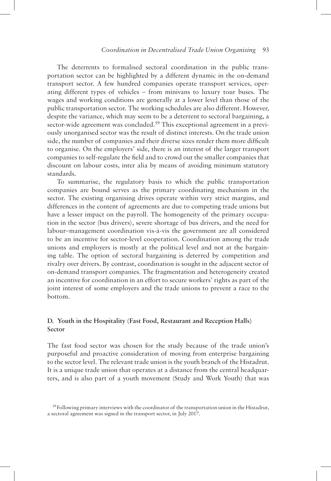The deterrents to formalised sectoral coordination in the public transportation sector can be highlighted by a different dynamic in the on-demand transport sector. A few hundred companies operate transport services, operating different types of vehicles – from minivans to luxury tour buses. The wages and working conditions are generally at a lower level than those of the public transportation sector. The working schedules are also different. However, despite the variance, which may seem to be a deterrent to sectoral bargaining, a sector-wide agreement was concluded.<sup>59</sup> This exceptional agreement in a previously unorganised sector was the result of distinct interests. On the trade union side, the number of companies and their diverse sizes render them more difficult to organise. On the employers ' side, there is an interest of the larger transport companies to self-regulate the field and to crowd out the smaller companies that discount on labour costs, inter alia by means of avoiding minimum statutory standards.

 To summarise, the regulatory basis to which the public transportation companies are bound serves as the primary coordinating mechanism in the sector. The existing organising drives operate within very strict margins, and differences in the content of agreements are due to competing trade unions but have a lesser impact on the payroll. The homogeneity of the primary occupation in the sector (bus drivers), severe shortage of bus drivers, and the need for labour – management coordination vis- à -vis the government are all considered to be an incentive for sector-level cooperation. Coordination among the trade unions and employers is mostly at the political level and not at the bargaining table. The option of sectoral bargaining is deterred by competition and rivalry over drivers. By contrast, coordination is sought in the adjacent sector of on-demand transport companies. The fragmentation and heterogeneity created an incentive for coordination in an effort to secure workers ' rights as part of the joint interest of some employers and the trade unions to prevent a race to the bottom.

## **D. Youth in the Hospitality (Fast Food, Restaurant and Reception Halls) Sector**

The fast food sector was chosen for the study because of the trade union's purposeful and proactive consideration of moving from enterprise bargaining to the sector level. The relevant trade union is the youth branch of the Histadrut. It is a unique trade union that operates at a distance from the central headquarters, and is also part of a youth movement (Study and Work Youth) that was

 $<sup>59</sup>$  Following primary interviews with the coordinator of the transportation union in the Histadrut,</sup> a sectoral agreement was signed in the transport sector, in July 2017.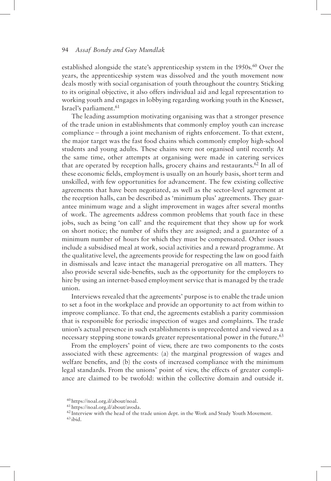established alongside the state's apprenticeship system in the  $1950s$ .<sup>60</sup> Over the years, the apprenticeship system was dissolved and the youth movement now deals mostly with social organisation of youth throughout the country. Sticking to its original objective, it also offers individual aid and legal representation to working youth and engages in lobbying regarding working youth in the Knesset, Israel's parliament.<sup>61</sup>

 The leading assumption motivating organising was that a stronger presence of the trade union in establishments that commonly employ youth can increase compliance – through a joint mechanism of rights enforcement. To that extent, the major target was the fast food chains which commonly employ high-school students and young adults. These chains were not organised until recently. At the same time, other attempts at organising were made in catering services that are operated by reception halls, grocery chains and restaurants.<sup>62</sup> In all of these economic fields, employment is usually on an hourly basis, short term and unskilled, with few opportunities for advancement. The few existing collective agreements that have been negotiated, as well as the sector-level agreement at the reception halls, can be described as ' minimum plus ' agreements. They guarantee minimum wage and a slight improvement in wages after several months of work. The agreements address common problems that youth face in these jobs, such as being 'on call' and the requirement that they show up for work on short notice; the number of shifts they are assigned; and a guarantee of a minimum number of hours for which they must be compensated. Other issues include a subsidised meal at work, social activities and a reward programme. At the qualitative level, the agreements provide for respecting the law on good faith in dismissals and leave intact the managerial prerogative on all matters. They also provide several side-benefits, such as the opportunity for the employers to hire by using an internet-based employment service that is managed by the trade union.

 Interviews revealed that the agreements ' purpose is to enable the trade union to set a foot in the workplace and provide an opportunity to act from within to improve compliance. To that end, the agreements establish a parity commission that is responsible for periodic inspection of wages and complaints. The trade union's actual presence in such establishments is unprecedented and viewed as a necessary stepping stone towards greater representational power in the future.<sup>63</sup>

From the employers' point of view, there are two components to the costs associated with these agreements: (a) the marginal progression of wages and welfare benefits, and (b) the costs of increased compliance with the minimum legal standards. From the unions' point of view, the effects of greater compliance are claimed to be twofold: within the collective domain and outside it.

 <sup>60</sup> https://noal.org.il/about/noal .

 <sup>61</sup> https://noal.org.il/about/avoda .

 $62$  Interview with the head of the trade union dept. in the Work and Study Youth Movement.

 $63$  ibid.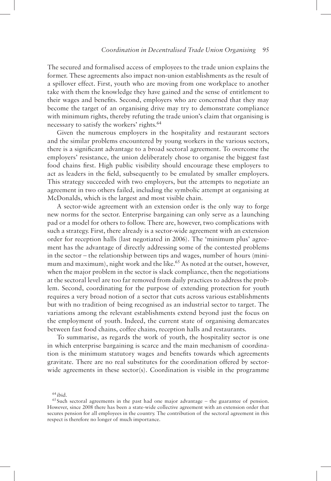The secured and formalised access of employees to the trade union explains the former. These agreements also impact non-union establishments as the result of a spillover effect. First, youth who are moving from one workplace to another take with them the knowledge they have gained and the sense of entitlement to their wages and benefits. Second, employers who are concerned that they may become the target of an organising drive may try to demonstrate compliance with minimum rights, thereby refuting the trade union's claim that organising is necessary to satisfy the workers' rights.<sup>64</sup>

 Given the numerous employers in the hospitality and restaurant sectors and the similar problems encountered by young workers in the various sectors, there is a significant advantage to a broad sectoral agreement. To overcome the employers' resistance, the union deliberately chose to organise the biggest fast food chains first. High public visibility should encourage these employers to act as leaders in the field, subsequently to be emulated by smaller employers. This strategy succeeded with two employers, but the attempts to negotiate an agreement in two others failed, including the symbolic attempt at organising at McDonalds, which is the largest and most visible chain.

 A sector-wide agreement with an extension order is the only way to forge new norms for the sector. Enterprise bargaining can only serve as a launching pad or a model for others to follow. There are, however, two complications with such a strategy. First, there already is a sector-wide agreement with an extension order for reception halls (last negotiated in 2006). The 'minimum plus' agreement has the advantage of directly addressing some of the contested problems in the sector – the relationship between tips and wages, number of hours (minimum and maximum), night work and the like.<sup>65</sup> As noted at the outset, however, when the major problem in the sector is slack compliance, then the negotiations at the sectoral level are too far removed from daily practices to address the problem. Second, coordinating for the purpose of extending protection for youth requires a very broad notion of a sector that cuts across various establishments but with no tradition of being recognised as an industrial sector to target. The variations among the relevant establishments extend beyond just the focus on the employment of youth. Indeed, the current state of organising demarcates between fast food chains, coffee chains, reception halls and restaurants.

 To summarise, as regards the work of youth, the hospitality sector is one in which enterprise bargaining is scarce and the main mechanism of coordination is the minimum statutory wages and benefits towards which agreements gravitate. There are no real substitutes for the coordination offered by sectorwide agreements in these sector(s). Coordination is visible in the programme

 $64$  ibid.

 $65$  Such sectoral agreements in the past had one major advantage – the guarantee of pension. However, since 2008 there has been a state-wide collective agreement with an extension order that secures pension for all employees in the country. The contribution of the sectoral agreement in this respect is therefore no longer of much importance.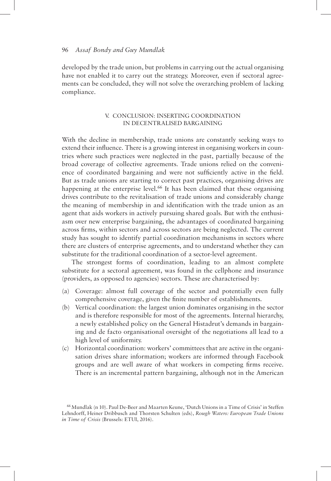developed by the trade union, but problems in carrying out the actual organising have not enabled it to carry out the strategy. Moreover, even if sectoral agreements can be concluded, they will not solve the overarching problem of lacking compliance.

## V. CONCLUSION: INSERTING COORDINATION IN DECENTRALISED BARGAINING

 With the decline in membership, trade unions are constantly seeking ways to extend their influence. There is a growing interest in organising workers in countries where such practices were neglected in the past, partially because of the broad coverage of collective agreements. Trade unions relied on the convenience of coordinated bargaining and were not sufficiently active in the field. But as trade unions are starting to correct past practices, organising drives are happening at the enterprise level.<sup>66</sup> It has been claimed that these organising drives contribute to the revitalisation of trade unions and considerably change the meaning of membership in and identification with the trade union as an agent that aids workers in actively pursuing shared goals. But with the enthusiasm over new enterprise bargaining, the advantages of coordinated bargaining across firms, within sectors and across sectors are being neglected. The current study has sought to identify partial coordination mechanisms in sectors where there are clusters of enterprise agreements, and to understand whether they can substitute for the traditional coordination of a sector-level agreement.

 The strongest forms of coordination, leading to an almost complete substitute for a sectoral agreement, was found in the cellphone and insurance (providers, as opposed to agencies) sectors. These are characterised by:

- (a) Coverage: almost full coverage of the sector and potentially even fully comprehensive coverage, given the finite number of establishments.
- (b) Vertical coordination: the largest union dominates organising in the sector and is therefore responsible for most of the agreements. Internal hierarchy, a newly established policy on the General Histadrut's demands in bargaining and de facto organisational oversight of the negotiations all lead to a high level of uniformity.
- (c) Horizontal coordination: workers ' committees that are active in the organisation drives share information; workers are informed through Facebook groups and are well aware of what workers in competing firms receive. There is an incremental pattern bargaining, although not in the American

<sup>&</sup>lt;sup>66</sup> Mundlak (n 10). Paul De-Beer and Maarten Keune, 'Dutch Unions in a Time of Crisis' in Steffen Lehndorff , Heiner Dribbusch and Thorsten Schulten (eds), *Rough Waters: European Trade Unions in Time of Crisis* (Brussels: ETUI, 2016).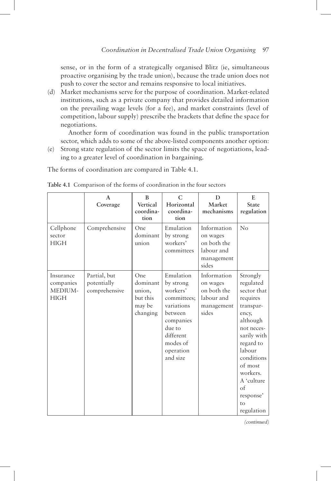sense, or in the form of a strategically organised Blitz (ie, simultaneous proactive organising by the trade union), because the trade union does not push to cover the sector and remains responsive to local initiatives.

 (d) Market mechanisms serve for the purpose of coordination. Market-related institutions, such as a private company that provides detailed information on the prevailing wage levels (for a fee), and market constraints (level of competition, labour supply) prescribe the brackets that define the space for negotiations.

 Another form of coordination was found in the public transportation sector, which adds to some of the above-listed components another option:

 (e) Strong state regulation of the sector limits the space of negotiations, leading to a greater level of coordination in bargaining.

The forms of coordination are compared in Table 4.1.

|                                                  | A<br>Coverage                                | $\bf{B}$<br>Vertical<br>coordina-<br>tion                   | $\mathsf{C}$<br>Horizontal<br>coordina-<br>tion                                                                                                     | D<br>Market<br>mechanisms                                                   | E<br>State<br>regulation                                                                                                                                                                                                                 |
|--------------------------------------------------|----------------------------------------------|-------------------------------------------------------------|-----------------------------------------------------------------------------------------------------------------------------------------------------|-----------------------------------------------------------------------------|------------------------------------------------------------------------------------------------------------------------------------------------------------------------------------------------------------------------------------------|
| Cellphone<br>sector<br><b>HIGH</b>               | Comprehensive                                | One<br>dominant<br>union                                    | Emulation<br>by strong<br>workers'<br>committees                                                                                                    | Information<br>on wages<br>on both the<br>labour and<br>management<br>sides | No                                                                                                                                                                                                                                       |
| Insurance<br>companies<br>MEDIUM-<br><b>HIGH</b> | Partial, but<br>potentially<br>comprehensive | One<br>dominant<br>union,<br>but this<br>may be<br>changing | Emulation<br>by strong<br>workers'<br>committees;<br>variations<br>between<br>companies<br>due to<br>different<br>modes of<br>operation<br>and size | Information<br>on wages<br>on both the<br>labour and<br>management<br>sides | Strongly<br>regulated<br>sector that<br>requires<br>transpar-<br>ency,<br>although<br>not neces-<br>sarily with<br>regard to<br>labour<br>conditions<br>of most<br>workers.<br>A 'culture<br>$\sigma$ f<br>response'<br>to<br>regulation |

 **Table 4.1** Comparison of the forms of coordination in the four sectors

*(continued)*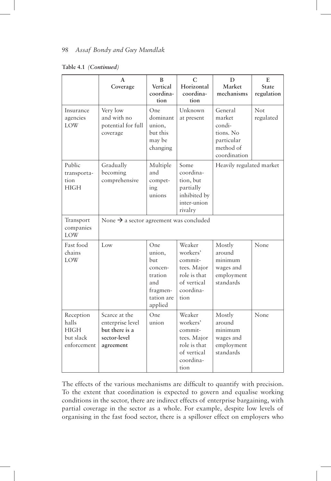#### **Table 4.1** *(Continued)*

|                                                               | A<br>Coverage                                                                    | B<br>Vertical<br>coordina-<br>tion                                                     | C<br>Horizontal<br>coordina-<br>tion                                                             | D<br>Market<br>mechanisms                                                           | E<br>State<br>regulation |
|---------------------------------------------------------------|----------------------------------------------------------------------------------|----------------------------------------------------------------------------------------|--------------------------------------------------------------------------------------------------|-------------------------------------------------------------------------------------|--------------------------|
| Insurance<br>agencies<br><b>LOW</b>                           | Very low<br>and with no<br>potential for full<br>coverage                        | One<br>dominant<br>union,<br>but this<br>may be<br>changing                            | Unknown<br>at present                                                                            | General<br>market<br>condi-<br>tions. No<br>particular<br>method of<br>coordination | Not<br>regulated         |
| Public<br>transporta-<br>tion<br><b>HIGH</b>                  | Gradually<br>becoming<br>comprehensive                                           | Multiple<br>and<br>compet-<br>ing<br>unions                                            | Some<br>coordina-<br>tion, but<br>partially<br>inhibited by<br>inter-union<br>rivalry            | Heavily regulated market                                                            |                          |
| Transport<br>companies<br>LOW                                 | None $\rightarrow$ a sector agreement was concluded                              |                                                                                        |                                                                                                  |                                                                                     |                          |
| Fast food<br>chains<br>LOW                                    | Low                                                                              | One<br>union,<br>but<br>concen-<br>tration<br>and<br>fragmen-<br>tation are<br>applied | Weaker<br>workers'<br>commit-<br>tees. Maior<br>role is that<br>of vertical<br>coordina-<br>tion | Mostly<br>around<br>minimum<br>wages and<br>employment<br>standards                 | None                     |
| Reception<br>halls<br><b>HIGH</b><br>but slack<br>enforcement | Scarce at the<br>enterprise level<br>but there is a<br>sector-level<br>agreement | One<br>union                                                                           | Weaker<br>workers'<br>commit-<br>tees. Major<br>role is that<br>of vertical<br>coordina-<br>tion | Mostly<br>around<br>minimum<br>wages and<br>employment<br>standards                 | None                     |

The effects of the various mechanisms are difficult to quantify with precision. To the extent that coordination is expected to govern and equalise working conditions in the sector, there are indirect effects of enterprise bargaining, with partial coverage in the sector as a whole. For example, despite low levels of organising in the fast food sector, there is a spillover effect on employers who